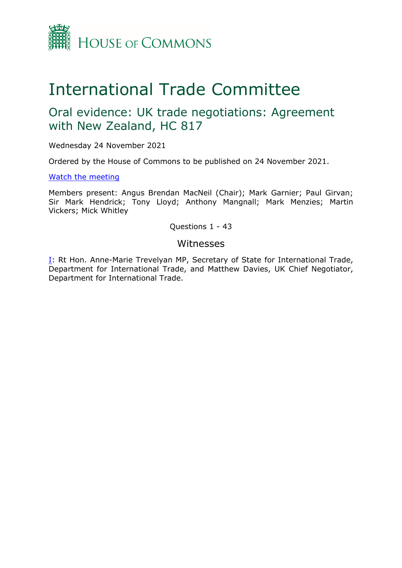

# International Trade Committee

## Oral evidence: UK trade negotiations: Agreement with New Zealand, HC 817

Wednesday 24 November 2021

Ordered by the House of Commons to be published on 24 November 2021.

## [Watch](https://www.parliamentlive.tv/Event/Index/2a77a211-73fd-4df8-bc33-9f0b8acb193b) [the](https://www.parliamentlive.tv/Event/Index/2a77a211-73fd-4df8-bc33-9f0b8acb193b) [meeting](https://www.parliamentlive.tv/Event/Index/2a77a211-73fd-4df8-bc33-9f0b8acb193b)

Members present: Angus Brendan MacNeil (Chair); Mark Garnier; Paul Girvan; Sir Mark Hendrick; Tony Lloyd; Anthony Mangnall; Mark Menzies; Martin Vickers; Mick Whitley

## Questions 1 - 43

## Witnesses

[I:](#page-1-0) Rt Hon. Anne-Marie Trevelyan MP, Secretary of State for International Trade, Department for International Trade, and Matthew Davies, UK Chief Negotiator, Department for International Trade.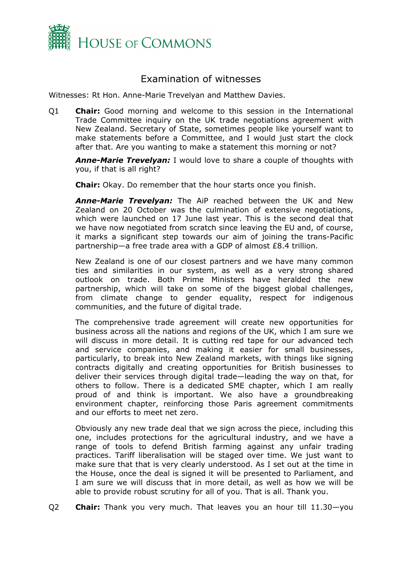

## <span id="page-1-0"></span>Examination of witnesses

Witnesses: Rt Hon. Anne-Marie Trevelyan and Matthew Davies.

Q1 **Chair:** Good morning and welcome to this session in the International Trade Committee inquiry on the UK trade negotiations agreement with New Zealand. Secretary of State, sometimes people like yourself want to make statements before a Committee, and I would just start the clock after that. Are you wanting to make a statement this morning or not?

*Anne-Marie Trevelyan:* I would love to share a couple of thoughts with you, if that is all right?

**Chair:** Okay. Do remember that the hour starts once you finish.

*Anne-Marie Trevelyan:* The AiP reached between the UK and New Zealand on 20 October was the culmination of extensive negotiations, which were launched on 17 June last year. This is the second deal that we have now negotiated from scratch since leaving the EU and, of course, it marks a significant step towards our aim of joining the trans-Pacific partnership—a free trade area with a GDP of almost £8.4 trillion.

New Zealand is one of our closest partners and we have many common ties and similarities in our system, as well as a very strong shared outlook on trade. Both Prime Ministers have heralded the new partnership, which will take on some of the biggest global challenges, from climate change to gender equality, respect for indigenous communities, and the future of digital trade.

The comprehensive trade agreement will create new opportunities for business across all the nations and regions of the UK, which I am sure we will discuss in more detail. It is cutting red tape for our advanced tech and service companies, and making it easier for small businesses, particularly, to break into New Zealand markets, with things like signing contracts digitally and creating opportunities for British businesses to deliver their services through digital trade—leading the way on that, for others to follow. There is a dedicated SME chapter, which I am really proud of and think is important. We also have a groundbreaking environment chapter, reinforcing those Paris agreement commitments and our efforts to meet net zero.

Obviously any new trade deal that we sign across the piece, including this one, includes protections for the agricultural industry, and we have a range of tools to defend British farming against any unfair trading practices. Tariff liberalisation will be staged over time. We just want to make sure that that is very clearly understood. As I set out at the time in the House, once the deal is signed it will be presented to Parliament, and I am sure we will discuss that in more detail, as well as how we will be able to provide robust scrutiny for all of you. That is all. Thank you.

Q2 **Chair:** Thank you very much. That leaves you an hour till 11.30—you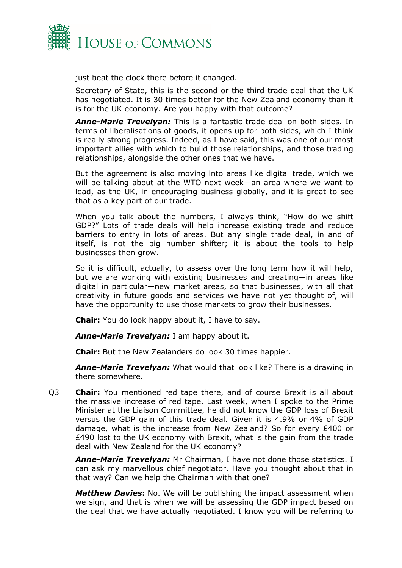

just beat the clock there before it changed.

Secretary of State, this is the second or the third trade deal that the UK has negotiated. It is 30 times better for the New Zealand economy than it is for the UK economy. Are you happy with that outcome?

*Anne-Marie Trevelyan:* This is a fantastic trade deal on both sides. In terms of liberalisations of goods, it opens up for both sides, which I think is really strong progress. Indeed, as I have said, this was one of our most important allies with which to build those relationships, and those trading relationships, alongside the other ones that we have.

But the agreement is also moving into areas like digital trade, which we will be talking about at the WTO next week—an area where we want to lead, as the UK, in encouraging business globally, and it is great to see that as a key part of our trade.

When you talk about the numbers, I always think, "How do we shift GDP?" Lots of trade deals will help increase existing trade and reduce barriers to entry in lots of areas. But any single trade deal, in and of itself, is not the big number shifter; it is about the tools to help businesses then grow.

So it is difficult, actually, to assess over the long term how it will help, but we are working with existing businesses and creating—in areas like digital in particular—new market areas, so that businesses, with all that creativity in future goods and services we have not yet thought of, will have the opportunity to use those markets to grow their businesses.

**Chair:** You do look happy about it, I have to say.

*Anne-Marie Trevelyan:* I am happy about it.

**Chair:** But the New Zealanders do look 30 times happier.

*Anne-Marie Trevelyan:* What would that look like? There is a drawing in there somewhere.

Q3 **Chair:** You mentioned red tape there, and of course Brexit is all about the massive increase of red tape. Last week, when I spoke to the Prime Minister at the Liaison Committee, he did not know the GDP loss of Brexit versus the GDP gain of this trade deal. Given it is 4.9% or 4% of GDP damage, what is the increase from New Zealand? So for every £400 or £490 lost to the UK economy with Brexit, what is the gain from the trade deal with New Zealand for the UK economy?

*Anne-Marie Trevelyan:* Mr Chairman, I have not done those statistics. I can ask my marvellous chief negotiator. Have you thought about that in that way? Can we help the Chairman with that one?

*Matthew Davies***:** No. We will be publishing the impact assessment when we sign, and that is when we will be assessing the GDP impact based on the deal that we have actually negotiated. I know you will be referring to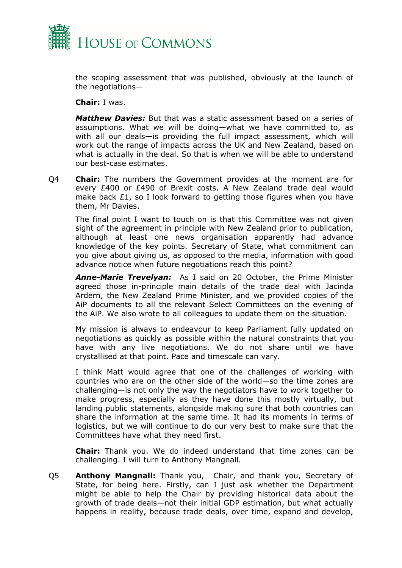

the scoping assessment that was published, obviously at the launch of the negotiations—

**Chair:** I was.

*Matthew Davies:* But that was a static assessment based on a series of assumptions. What we will be doing—what we have committed to, as with all our deals—is providing the full impact assessment, which will work out the range of impacts across the UK and New Zealand, based on what is actually in the deal. So that is when we will be able to understand our best-case estimates.

Q4 **Chair:** The numbers the Government provides at the moment are for every £400 or £490 of Brexit costs. A New Zealand trade deal would make back £1, so I look forward to getting those figures when you have them, Mr Davies.

The final point I want to touch on is that this Committee was not given sight of the agreement in principle with New Zealand prior to publication, although at least one news organisation apparently had advance knowledge of the key points. Secretary of State, what commitment can you give about giving us, as opposed to the media, information with good advance notice when future negotiations reach this point?

*Anne-Marie Trevelyan:* As I said on 20 October, the Prime Minister agreed those in-principle main details of the trade deal with Jacinda Ardern, the New Zealand Prime Minister, and we provided copies of the AiP documents to all the relevant Select Committees on the evening of the AiP. We also wrote to all colleagues to update them on the situation.

My mission is always to endeavour to keep Parliament fully updated on negotiations as quickly as possible within the natural constraints that you have with any live negotiations. We do not share until we have crystallised at that point. Pace and timescale can vary.

I think Matt would agree that one of the challenges of working with countries who are on the other side of the world—so the time zones are challenging—is not only the way the negotiators have to work together to make progress, especially as they have done this mostly virtually, but landing public statements, alongside making sure that both countries can share the information at the same time. It had its moments in terms of logistics, but we will continue to do our very best to make sure that the Committees have what they need first.

**Chair:** Thank you. We do indeed understand that time zones can be challenging. I will turn to Anthony Mangnall.

Q5 **Anthony Mangnall:** Thank you, Chair, and thank you, Secretary of State, for being here. Firstly, can I just ask whether the Department might be able to help the Chair by providing historical data about the growth of trade deals—not their initial GDP estimation, but what actually happens in reality, because trade deals, over time, expand and develop,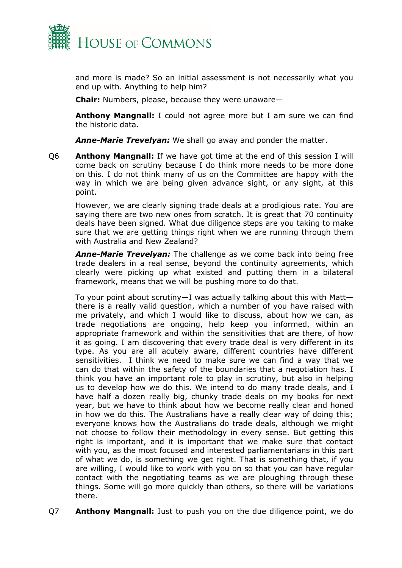

and more is made? So an initial assessment is not necessarily what you end up with. Anything to help him?

**Chair:** Numbers, please, because they were unaware—

**Anthony Mangnall:** I could not agree more but I am sure we can find the historic data.

*Anne-Marie Trevelyan:* We shall go away and ponder the matter.

Q6 **Anthony Mangnall:** If we have got time at the end of this session I will come back on scrutiny because I do think more needs to be more done on this. I do not think many of us on the Committee are happy with the way in which we are being given advance sight, or any sight, at this point.

However, we are clearly signing trade deals at a prodigious rate. You are saying there are two new ones from scratch. It is great that 70 continuity deals have been signed. What due diligence steps are you taking to make sure that we are getting things right when we are running through them with Australia and New Zealand?

*Anne-Marie Trevelyan:* The challenge as we come back into being free trade dealers in a real sense, beyond the continuity agreements, which clearly were picking up what existed and putting them in a bilateral framework, means that we will be pushing more to do that.

To your point about scrutiny—I was actually talking about this with Matt there is a really valid question, which a number of you have raised with me privately, and which I would like to discuss, about how we can, as trade negotiations are ongoing, help keep you informed, within an appropriate framework and within the sensitivities that are there, of how it as going. I am discovering that every trade deal is very different in its type. As you are all acutely aware, different countries have different sensitivities. I think we need to make sure we can find a way that we can do that within the safety of the boundaries that a negotiation has. I think you have an important role to play in scrutiny, but also in helping us to develop how we do this. We intend to do many trade deals, and I have half a dozen really big, chunky trade deals on my books for next year, but we have to think about how we become really clear and honed in how we do this. The Australians have a really clear way of doing this; everyone knows how the Australians do trade deals, although we might not choose to follow their methodology in every sense. But getting this right is important, and it is important that we make sure that contact with you, as the most focused and interested parliamentarians in this part of what we do, is something we get right. That is something that, if you are willing, I would like to work with you on so that you can have regular contact with the negotiating teams as we are ploughing through these things. Some will go more quickly than others, so there will be variations there.

Q7 **Anthony Mangnall:** Just to push you on the due diligence point, we do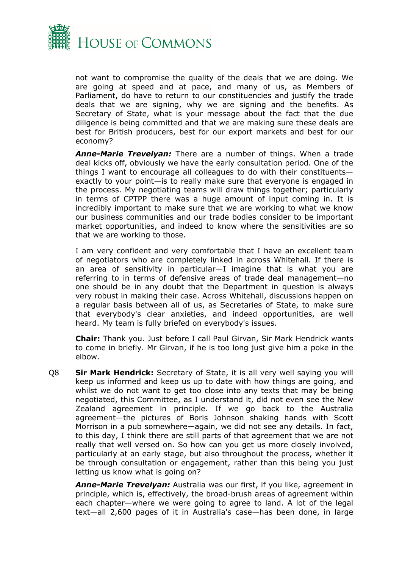

not want to compromise the quality of the deals that we are doing. We are going at speed and at pace, and many of us, as Members of Parliament, do have to return to our constituencies and justify the trade deals that we are signing, why we are signing and the benefits. As Secretary of State, what is your message about the fact that the due diligence is being committed and that we are making sure these deals are best for British producers, best for our export markets and best for our economy?

*Anne-Marie Trevelyan:* There are a number of things. When a trade deal kicks off, obviously we have the early consultation period. One of the things I want to encourage all colleagues to do with their constituents exactly to your point—is to really make sure that everyone is engaged in the process. My negotiating teams will draw things together; particularly in terms of CPTPP there was a huge amount of input coming in. It is incredibly important to make sure that we are working to what we know our business communities and our trade bodies consider to be important market opportunities, and indeed to know where the sensitivities are so that we are working to those.

I am very confident and very comfortable that I have an excellent team of negotiators who are completely linked in across Whitehall. If there is an area of sensitivity in particular—I imagine that is what you are referring to in terms of defensive areas of trade deal management—no one should be in any doubt that the Department in question is always very robust in making their case. Across Whitehall, discussions happen on a regular basis between all of us, as Secretaries of State, to make sure that everybody's clear anxieties, and indeed opportunities, are well heard. My team is fully briefed on everybody's issues.

**Chair:** Thank you. Just before I call Paul Girvan, Sir Mark Hendrick wants to come in briefly. Mr Girvan, if he is too long just give him a poke in the elbow.

Q8 **Sir Mark Hendrick:** Secretary of State, it is all very well saying you will keep us informed and keep us up to date with how things are going, and whilst we do not want to get too close into any texts that may be being negotiated, this Committee, as I understand it, did not even see the New Zealand agreement in principle. If we go back to the Australia agreement—the pictures of Boris Johnson shaking hands with Scott Morrison in a pub somewhere—again, we did not see any details. In fact, to this day, I think there are still parts of that agreement that we are not really that well versed on. So how can you get us more closely involved, particularly at an early stage, but also throughout the process, whether it be through consultation or engagement, rather than this being you just letting us know what is going on?

*Anne-Marie Trevelyan:* Australia was our first, if you like, agreement in principle, which is, effectively, the broad-brush areas of agreement within each chapter—where we were going to agree to land. A lot of the legal text—all 2,600 pages of it in Australia's case—has been done, in large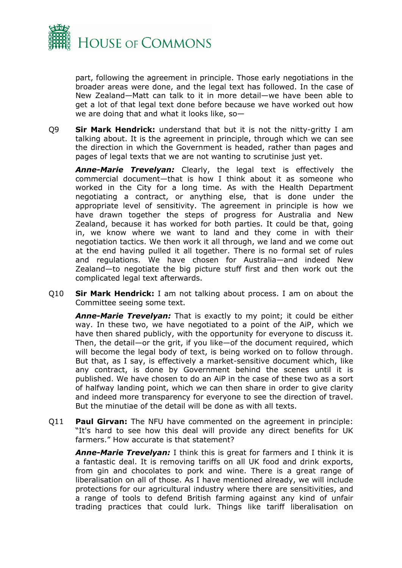

part, following the agreement in principle. Those early negotiations in the broader areas were done, and the legal text has followed. In the case of New Zealand—Matt can talk to it in more detail—we have been able to get a lot of that legal text done before because we have worked out how we are doing that and what it looks like, so—

Q9 **Sir Mark Hendrick:** understand that but it is not the nitty-gritty I am talking about. It is the agreement in principle, through which we can see the direction in which the Government is headed, rather than pages and pages of legal texts that we are not wanting to scrutinise just yet.

*Anne-Marie Trevelyan:* Clearly, the legal text is effectively the commercial document—that is how I think about it as someone who worked in the City for a long time. As with the Health Department negotiating a contract, or anything else, that is done under the appropriate level of sensitivity. The agreement in principle is how we have drawn together the steps of progress for Australia and New Zealand, because it has worked for both parties. It could be that, going in, we know where we want to land and they come in with their negotiation tactics. We then work it all through, we land and we come out at the end having pulled it all together. There is no formal set of rules and regulations. We have chosen for Australia—and indeed New Zealand—to negotiate the big picture stuff first and then work out the complicated legal text afterwards.

Q10 **Sir Mark Hendrick:** I am not talking about process. I am on about the Committee seeing some text.

*Anne-Marie Trevelyan:* That is exactly to my point; it could be either way. In these two, we have negotiated to a point of the AiP, which we have then shared publicly, with the opportunity for everyone to discuss it. Then, the detail—or the grit, if you like—of the document required, which will become the legal body of text, is being worked on to follow through. But that, as I say, is effectively a market-sensitive document which, like any contract, is done by Government behind the scenes until it is published. We have chosen to do an AiP in the case of these two as a sort of halfway landing point, which we can then share in order to give clarity and indeed more transparency for everyone to see the direction of travel. But the minutiae of the detail will be done as with all texts.

Q11 **Paul Girvan:** The NFU have commented on the agreement in principle: "It's hard to see how this deal will provide any direct benefits for UK farmers." How accurate is that statement?

*Anne-Marie Trevelyan:* I think this is great for farmers and I think it is a fantastic deal. It is removing tariffs on all UK food and drink exports, from gin and chocolates to pork and wine. There is a great range of liberalisation on all of those. As I have mentioned already, we will include protections for our agricultural industry where there are sensitivities, and a range of tools to defend British farming against any kind of unfair trading practices that could lurk. Things like tariff liberalisation on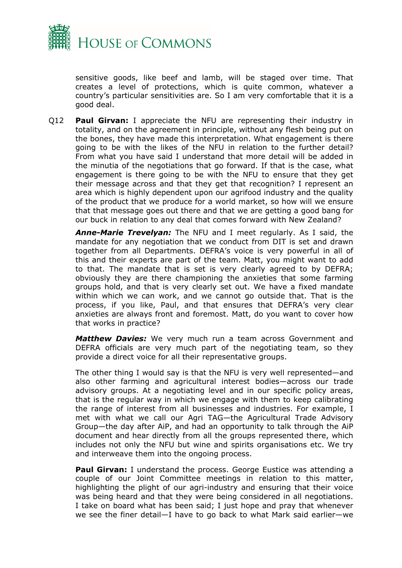

sensitive goods, like beef and lamb, will be staged over time. That creates a level of protections, which is quite common, whatever a country's particular sensitivities are. So I am very comfortable that it is a good deal.

Q12 **Paul Girvan:** I appreciate the NFU are representing their industry in totality, and on the agreement in principle, without any flesh being put on the bones, they have made this interpretation. What engagement is there going to be with the likes of the NFU in relation to the further detail? From what you have said I understand that more detail will be added in the minutia of the negotiations that go forward. If that is the case, what engagement is there going to be with the NFU to ensure that they get their message across and that they get that recognition? I represent an area which is highly dependent upon our agrifood industry and the quality of the product that we produce for a world market, so how will we ensure that that message goes out there and that we are getting a good bang for our buck in relation to any deal that comes forward with New Zealand?

*Anne-Marie Trevelyan:* The NFU and I meet regularly. As I said, the mandate for any negotiation that we conduct from DIT is set and drawn together from all Departments. DEFRA's voice is very powerful in all of this and their experts are part of the team. Matt, you might want to add to that. The mandate that is set is very clearly agreed to by DEFRA; obviously they are there championing the anxieties that some farming groups hold, and that is very clearly set out. We have a fixed mandate within which we can work, and we cannot go outside that. That is the process, if you like, Paul, and that ensures that DEFRA's very clear anxieties are always front and foremost. Matt, do you want to cover how that works in practice?

*Matthew Davies:* We very much run a team across Government and DEFRA officials are very much part of the negotiating team, so they provide a direct voice for all their representative groups.

The other thing I would say is that the NFU is very well represented—and also other farming and agricultural interest bodies—across our trade advisory groups. At a negotiating level and in our specific policy areas, that is the regular way in which we engage with them to keep calibrating the range of interest from all businesses and industries. For example, I met with what we call our Agri TAG—the Agricultural Trade Advisory Group—the day after AiP, and had an opportunity to talk through the AiP document and hear directly from all the groups represented there, which includes not only the NFU but wine and spirits organisations etc. We try and interweave them into the ongoing process.

**Paul Girvan:** I understand the process. George Eustice was attending a couple of our Joint Committee meetings in relation to this matter, highlighting the plight of our agri-industry and ensuring that their voice was being heard and that they were being considered in all negotiations. I take on board what has been said; I just hope and pray that whenever we see the finer detail—I have to go back to what Mark said earlier—we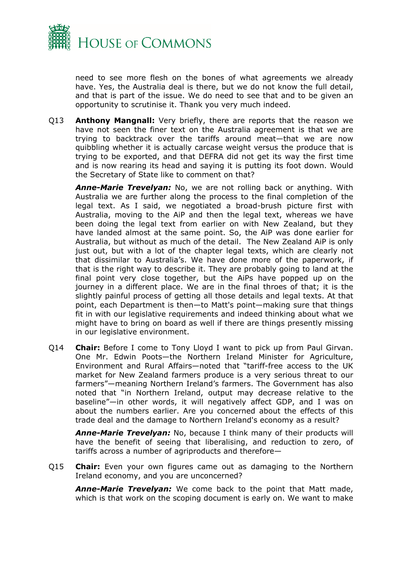

need to see more flesh on the bones of what agreements we already have. Yes, the Australia deal is there, but we do not know the full detail, and that is part of the issue. We do need to see that and to be given an opportunity to scrutinise it. Thank you very much indeed.

Q13 **Anthony Mangnall:** Very briefly, there are reports that the reason we have not seen the finer text on the Australia agreement is that we are trying to backtrack over the tariffs around meat—that we are now quibbling whether it is actually carcase weight versus the produce that is trying to be exported, and that DEFRA did not get its way the first time and is now rearing its head and saying it is putting its foot down. Would the Secretary of State like to comment on that?

*Anne-Marie Trevelyan:* No, we are not rolling back or anything. With Australia we are further along the process to the final completion of the legal text. As I said, we negotiated a broad-brush picture first with Australia, moving to the AiP and then the legal text, whereas we have been doing the legal text from earlier on with New Zealand, but they have landed almost at the same point. So, the AiP was done earlier for Australia, but without as much of the detail. The New Zealand AiP is only just out, but with a lot of the chapter legal texts, which are clearly not that dissimilar to Australia's. We have done more of the paperwork, if that is the right way to describe it. They are probably going to land at the final point very close together, but the AiPs have popped up on the journey in a different place. We are in the final throes of that; it is the slightly painful process of getting all those details and legal texts. At that point, each Department is then—to Matt's point—making sure that things fit in with our legislative requirements and indeed thinking about what we might have to bring on board as well if there are things presently missing in our legislative environment.

Q14 **Chair:** Before I come to Tony Lloyd I want to pick up from Paul Girvan. One Mr. Edwin Poots—the Northern Ireland Minister for Agriculture, Environment and Rural Affairs—noted that "tariff-free access to the UK market for New Zealand farmers produce is a very serious threat to our farmers"—meaning Northern Ireland's farmers. The Government has also noted that "in Northern Ireland, output may decrease relative to the baseline"—in other words, it will negatively affect GDP, and I was on about the numbers earlier. Are you concerned about the effects of this trade deal and the damage to Northern Ireland's economy as a result?

*Anne-Marie Trevelyan:* No, because I think many of their products will have the benefit of seeing that liberalising, and reduction to zero, of tariffs across a number of agriproducts and therefore—

Q15 **Chair:** Even your own figures came out as damaging to the Northern Ireland economy, and you are unconcerned?

*Anne-Marie Trevelyan:* We come back to the point that Matt made, which is that work on the scoping document is early on. We want to make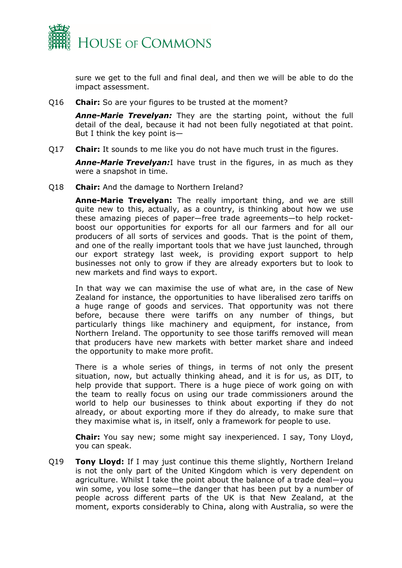

sure we get to the full and final deal, and then we will be able to do the impact assessment.

Q16 **Chair:** So are your figures to be trusted at the moment?

*Anne-Marie Trevelyan:* They are the starting point, without the full detail of the deal, because it had not been fully negotiated at that point. But I think the key point is—

Q17 **Chair:** It sounds to me like you do not have much trust in the figures.

*Anne-Marie Trevelyan:*I have trust in the figures, in as much as they were a snapshot in time.

Q18 **Chair:** And the damage to Northern Ireland?

**Anne-Marie Trevelyan:** The really important thing, and we are still quite new to this, actually, as a country, is thinking about how we use these amazing pieces of paper—free trade agreements—to help rocketboost our opportunities for exports for all our farmers and for all our producers of all sorts of services and goods. That is the point of them, and one of the really important tools that we have just launched, through our export strategy last week, is providing export support to help businesses not only to grow if they are already exporters but to look to new markets and find ways to export.

In that way we can maximise the use of what are, in the case of New Zealand for instance, the opportunities to have liberalised zero tariffs on a huge range of goods and services. That opportunity was not there before, because there were tariffs on any number of things, but particularly things like machinery and equipment, for instance, from Northern Ireland. The opportunity to see those tariffs removed will mean that producers have new markets with better market share and indeed the opportunity to make more profit.

There is a whole series of things, in terms of not only the present situation, now, but actually thinking ahead, and it is for us, as DIT, to help provide that support. There is a huge piece of work going on with the team to really focus on using our trade commissioners around the world to help our businesses to think about exporting if they do not already, or about exporting more if they do already, to make sure that they maximise what is, in itself, only a framework for people to use.

**Chair:** You say new; some might say inexperienced. I say, Tony Lloyd, you can speak.

Q19 **Tony Lloyd:** If I may just continue this theme slightly, Northern Ireland is not the only part of the United Kingdom which is very dependent on agriculture. Whilst I take the point about the balance of a trade deal—you win some, you lose some—the danger that has been put by a number of people across different parts of the UK is that New Zealand, at the moment, exports considerably to China, along with Australia, so were the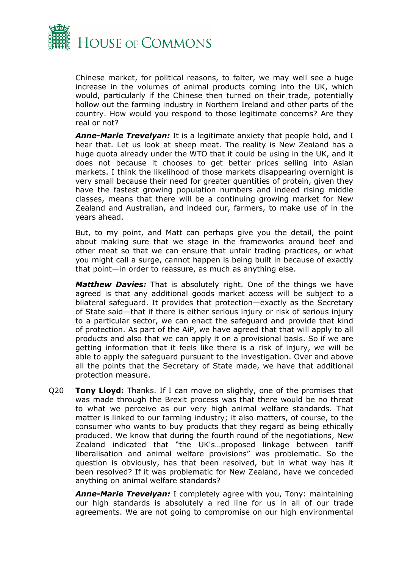

Chinese market, for political reasons, to falter, we may well see a huge increase in the volumes of animal products coming into the UK, which would, particularly if the Chinese then turned on their trade, potentially hollow out the farming industry in Northern Ireland and other parts of the country. How would you respond to those legitimate concerns? Are they real or not?

*Anne-Marie Trevelyan:* It is a legitimate anxiety that people hold, and I hear that. Let us look at sheep meat. The reality is New Zealand has a huge quota already under the WTO that it could be using in the UK, and it does not because it chooses to get better prices selling into Asian markets. I think the likelihood of those markets disappearing overnight is very small because their need for greater quantities of protein, given they have the fastest growing population numbers and indeed rising middle classes, means that there will be a continuing growing market for New Zealand and Australian, and indeed our, farmers, to make use of in the years ahead.

But, to my point, and Matt can perhaps give you the detail, the point about making sure that we stage in the frameworks around beef and other meat so that we can ensure that unfair trading practices, or what you might call a surge, cannot happen is being built in because of exactly that point—in order to reassure, as much as anything else.

*Matthew Davies:* That is absolutely right. One of the things we have agreed is that any additional goods market access will be subject to a bilateral safeguard. It provides that protection—exactly as the Secretary of State said—that if there is either serious injury or risk of serious injury to a particular sector, we can enact the safeguard and provide that kind of protection. As part of the AiP, we have agreed that that will apply to all products and also that we can apply it on a provisional basis. So if we are getting information that it feels like there is a risk of injury, we will be able to apply the safeguard pursuant to the investigation. Over and above all the points that the Secretary of State made, we have that additional protection measure.

Q20 **Tony Lloyd:** Thanks. If I can move on slightly, one of the promises that was made through the Brexit process was that there would be no threat to what we perceive as our very high animal welfare standards. That matter is linked to our farming industry; it also matters, of course, to the consumer who wants to buy products that they regard as being ethically produced. We know that during the fourth round of the negotiations, New Zealand indicated that "the UK's…proposed linkage between tariff liberalisation and animal welfare provisions" was problematic. So the question is obviously, has that been resolved, but in what way has it been resolved? If it was problematic for New Zealand, have we conceded anything on animal welfare standards?

*Anne-Marie Trevelyan:* I completely agree with you, Tony: maintaining our high standards is absolutely a red line for us in all of our trade agreements. We are not going to compromise on our high environmental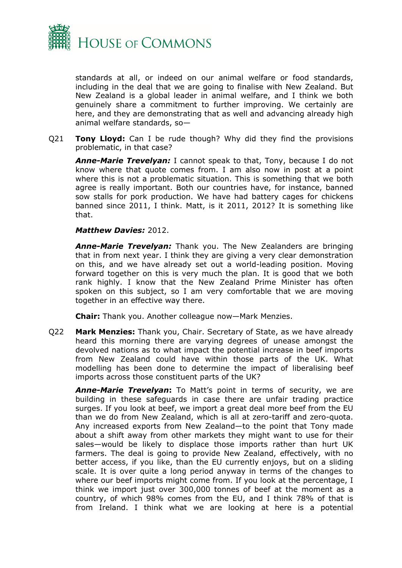

standards at all, or indeed on our animal welfare or food standards, including in the deal that we are going to finalise with New Zealand. But New Zealand is a global leader in animal welfare, and I think we both genuinely share a commitment to further improving. We certainly are here, and they are demonstrating that as well and advancing already high animal welfare standards, so—

Q21 **Tony Lloyd:** Can I be rude though? Why did they find the provisions problematic, in that case?

*Anne-Marie Trevelyan:* I cannot speak to that, Tony, because I do not know where that quote comes from. I am also now in post at a point where this is not a problematic situation. This is something that we both agree is really important. Both our countries have, for instance, banned sow stalls for pork production. We have had battery cages for chickens banned since 2011, I think. Matt, is it 2011, 2012? It is something like that.

#### *Matthew Davies:* 2012.

*Anne-Marie Trevelyan:* Thank you. The New Zealanders are bringing that in from next year. I think they are giving a very clear demonstration on this, and we have already set out a world-leading position. Moving forward together on this is very much the plan. It is good that we both rank highly. I know that the New Zealand Prime Minister has often spoken on this subject, so I am very comfortable that we are moving together in an effective way there.

**Chair:** Thank you. Another colleague now—Mark Menzies.

Q22 **Mark Menzies:** Thank you, Chair. Secretary of State, as we have already heard this morning there are varying degrees of unease amongst the devolved nations as to what impact the potential increase in beef imports from New Zealand could have within those parts of the UK. What modelling has been done to determine the impact of liberalising beef imports across those constituent parts of the UK?

*Anne-Marie Trevelyan***:** To Matt's point in terms of security, we are building in these safeguards in case there are unfair trading practice surges. If you look at beef, we import a great deal more beef from the EU than we do from New Zealand, which is all at zero-tariff and zero-quota. Any increased exports from New Zealand—to the point that Tony made about a shift away from other markets they might want to use for their sales—would be likely to displace those imports rather than hurt UK farmers. The deal is going to provide New Zealand, effectively, with no better access, if you like, than the EU currently enjoys, but on a sliding scale. It is over quite a long period anyway in terms of the changes to where our beef imports might come from. If you look at the percentage, I think we import just over 300,000 tonnes of beef at the moment as a country, of which 98% comes from the EU, and I think 78% of that is from Ireland. I think what we are looking at here is a potential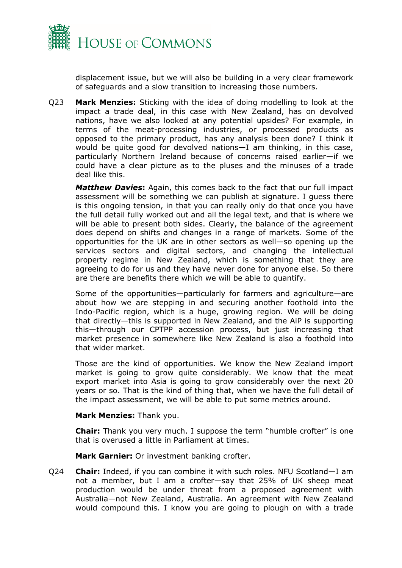

displacement issue, but we will also be building in a very clear framework of safeguards and a slow transition to increasing those numbers.

Q23 **Mark Menzies:** Sticking with the idea of doing modelling to look at the impact a trade deal, in this case with New Zealand, has on devolved nations, have we also looked at any potential upsides? For example, in terms of the meat-processing industries, or processed products as opposed to the primary product, has any analysis been done? I think it would be quite good for devolved nations—I am thinking, in this case, particularly Northern Ireland because of concerns raised earlier—if we could have a clear picture as to the pluses and the minuses of a trade deal like this.

*Matthew Davies***:** Again, this comes back to the fact that our full impact assessment will be something we can publish at signature. I guess there is this ongoing tension, in that you can really only do that once you have the full detail fully worked out and all the legal text, and that is where we will be able to present both sides. Clearly, the balance of the agreement does depend on shifts and changes in a range of markets. Some of the opportunities for the UK are in other sectors as well—so opening up the services sectors and digital sectors, and changing the intellectual property regime in New Zealand, which is something that they are agreeing to do for us and they have never done for anyone else. So there are there are benefits there which we will be able to quantify.

Some of the opportunities—particularly for farmers and agriculture—are about how we are stepping in and securing another foothold into the Indo-Pacific region, which is a huge, growing region. We will be doing that directly—this is supported in New Zealand, and the AiP is supporting this—through our CPTPP accession process, but just increasing that market presence in somewhere like New Zealand is also a foothold into that wider market.

Those are the kind of opportunities. We know the New Zealand import market is going to grow quite considerably. We know that the meat export market into Asia is going to grow considerably over the next 20 years or so. That is the kind of thing that, when we have the full detail of the impact assessment, we will be able to put some metrics around.

## **Mark Menzies:** Thank you.

**Chair:** Thank you very much. I suppose the term "humble crofter" is one that is overused a little in Parliament at times.

**Mark Garnier:** Or investment banking crofter.

Q24 **Chair:** Indeed, if you can combine it with such roles. NFU Scotland—I am not a member, but I am a crofter—say that 25% of UK sheep meat production would be under threat from a proposed agreement with Australia—not New Zealand, Australia. An agreement with New Zealand would compound this. I know you are going to plough on with a trade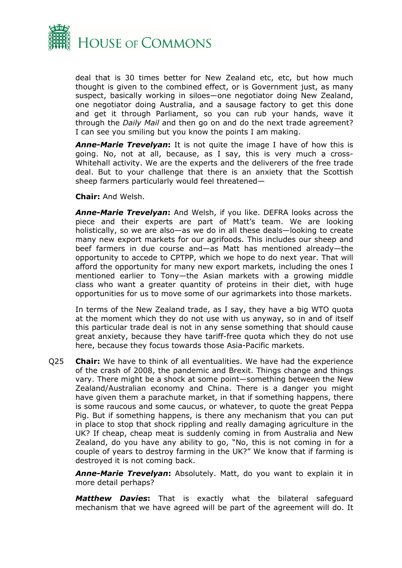

deal that is 30 times better for New Zealand etc, etc, but how much thought is given to the combined effect, or is Government just, as many suspect, basically working in siloes—one negotiator doing New Zealand, one negotiator doing Australia, and a sausage factory to get this done and get it through Parliament, so you can rub your hands, wave it through the *Daily Mail* and then go on and do the next trade agreement? I can see you smiling but you know the points I am making.

*Anne-Marie Trevelyan***:** It is not quite the image I have of how this is going. No, not at all, because, as I say, this is very much a cross-Whitehall activity. We are the experts and the deliverers of the free trade deal. But to your challenge that there is an anxiety that the Scottish sheep farmers particularly would feel threatened—

**Chair:** And Welsh.

*Anne-Marie Trevelyan***:** And Welsh, if you like. DEFRA looks across the piece and their experts are part of Matt's team. We are looking holistically, so we are also—as we do in all these deals—looking to create many new export markets for our agrifoods. This includes our sheep and beef farmers in due course and—as Matt has mentioned already—the opportunity to accede to CPTPP, which we hope to do next year. That will afford the opportunity for many new export markets, including the ones I mentioned earlier to Tony—the Asian markets with a growing middle class who want a greater quantity of proteins in their diet, with huge opportunities for us to move some of our agrimarkets into those markets.

In terms of the New Zealand trade, as I say, they have a big WTO quota at the moment which they do not use with us anyway, so in and of itself this particular trade deal is not in any sense something that should cause great anxiety, because they have tariff-free quota which they do not use here, because they focus towards those Asia-Pacific markets.

Q25 **Chair:** We have to think of all eventualities. We have had the experience of the crash of 2008, the pandemic and Brexit. Things change and things vary. There might be a shock at some point—something between the New Zealand/Australian economy and China. There is a danger you might have given them a parachute market, in that if something happens, there is some raucous and some caucus, or whatever, to quote the great Peppa Pig. But if something happens, is there any mechanism that you can put in place to stop that shock rippling and really damaging agriculture in the UK? If cheap, cheap meat is suddenly coming in from Australia and New Zealand, do you have any ability to go, "No, this is not coming in for a couple of years to destroy farming in the UK?" We know that if farming is destroyed it is not coming back.

*Anne-Marie Trevelyan***:** Absolutely. Matt, do you want to explain it in more detail perhaps?

*Matthew Davies***:** That is exactly what the bilateral safeguard mechanism that we have agreed will be part of the agreement will do. It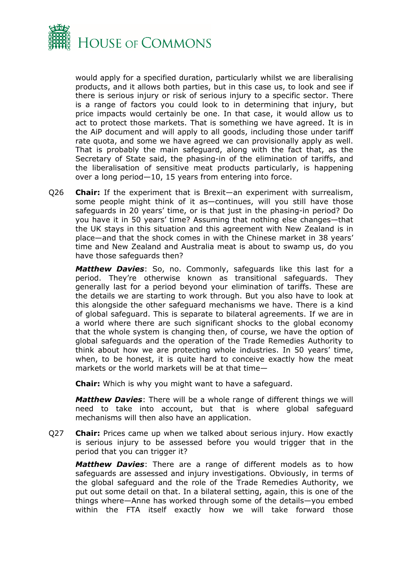

would apply for a specified duration, particularly whilst we are liberalising products, and it allows both parties, but in this case us, to look and see if there is serious injury or risk of serious injury to a specific sector. There is a range of factors you could look to in determining that injury, but price impacts would certainly be one. In that case, it would allow us to act to protect those markets. That is something we have agreed. It is in the AiP document and will apply to all goods, including those under tariff rate quota, and some we have agreed we can provisionally apply as well. That is probably the main safeguard, along with the fact that, as the Secretary of State said, the phasing-in of the elimination of tariffs, and the liberalisation of sensitive meat products particularly, is happening over a long period—10, 15 years from entering into force.

Q26 **Chair:** If the experiment that is Brexit—an experiment with surrealism, some people might think of it as—continues, will you still have those safeguards in 20 years' time, or is that just in the phasing-in period? Do you have it in 50 years' time? Assuming that nothing else changes—that the UK stays in this situation and this agreement with New Zealand is in place—and that the shock comes in with the Chinese market in 38 years' time and New Zealand and Australia meat is about to swamp us, do you have those safeguards then?

*Matthew Davies*: So, no. Commonly, safeguards like this last for a period. They're otherwise known as transitional safeguards. They generally last for a period beyond your elimination of tariffs. These are the details we are starting to work through. But you also have to look at this alongside the other safeguard mechanisms we have. There is a kind of global safeguard. This is separate to bilateral agreements. If we are in a world where there are such significant shocks to the global economy that the whole system is changing then, of course, we have the option of global safeguards and the operation of the Trade Remedies Authority to think about how we are protecting whole industries. In 50 years' time, when, to be honest, it is quite hard to conceive exactly how the meat markets or the world markets will be at that time*—*

**Chair:** Which is why you might want to have a safeguard.

*Matthew Davies*: There will be a whole range of different things we will need to take into account, but that is where global safeguard mechanisms will then also have an application.

Q27 **Chair:** Prices came up when we talked about serious injury. How exactly is serious injury to be assessed before you would trigger that in the period that you can trigger it?

*Matthew Davies*: There are a range of different models as to how safeguards are assessed and injury investigations. Obviously, in terms of the global safeguard and the role of the Trade Remedies Authority, we put out some detail on that. In a bilateral setting, again, this is one of the things where—Anne has worked through some of the details—you embed within the FTA itself exactly how we will take forward those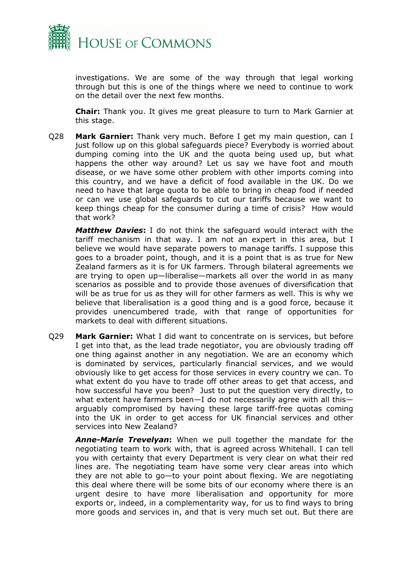

investigations. We are some of the way through that legal working through but this is one of the things where we need to continue to work on the detail over the next few months.

**Chair:** Thank you. It gives me great pleasure to turn to Mark Garnier at this stage.

Q28 **Mark Garnier:** Thank very much. Before I get my main question, can I just follow up on this global safeguards piece? Everybody is worried about dumping coming into the UK and the quota being used up, but what happens the other way around? Let us say we have foot and mouth disease, or we have some other problem with other imports coming into this country, and we have a deficit of food available in the UK. Do we need to have that large quota to be able to bring in cheap food if needed or can we use global safeguards to cut our tariffs because we want to keep things cheap for the consumer during a time of crisis? How would that work?

*Matthew Davies***:** I do not think the safeguard would interact with the tariff mechanism in that way. I am not an expert in this area, but I believe we would have separate powers to manage tariffs. I suppose this goes to a broader point, though, and it is a point that is as true for New Zealand farmers as it is for UK farmers. Through bilateral agreements we are trying to open up—liberalise—markets all over the world in as many scenarios as possible and to provide those avenues of diversification that will be as true for us as they will for other farmers as well. This is why we believe that liberalisation is a good thing and is a good force, because it provides unencumbered trade, with that range of opportunities for markets to deal with different situations.

Q29 **Mark Garnier:** What I did want to concentrate on is services, but before I get into that, as the lead trade negotiator, you are obviously trading off one thing against another in any negotiation. We are an economy which is dominated by services, particularly financial services, and we would obviously like to get access for those services in every country we can. To what extent do you have to trade off other areas to get that access, and how successful have you been? Just to put the question very directly, to what extent have farmers been—I do not necessarily agree with all this arguably compromised by having these large tariff-free quotas coming into the UK in order to get access for UK financial services and other services into New Zealand?

*Anne-Marie Trevelyan***:** When we pull together the mandate for the negotiating team to work with, that is agreed across Whitehall. I can tell you with certainty that every Department is very clear on what their red lines are. The negotiating team have some very clear areas into which they are not able to go—to your point about flexing. We are negotiating this deal where there will be some bits of our economy where there is an urgent desire to have more liberalisation and opportunity for more exports or, indeed, in a complementarity way, for us to find ways to bring more goods and services in, and that is very much set out. But there are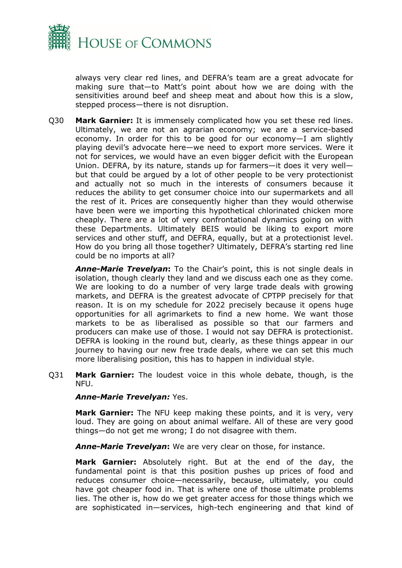

always very clear red lines, and DEFRA's team are a great advocate for making sure that—to Matt's point about how we are doing with the sensitivities around beef and sheep meat and about how this is a slow, stepped process—there is not disruption.

Q30 **Mark Garnier:** It is immensely complicated how you set these red lines. Ultimately, we are not an agrarian economy; we are a service-based economy. In order for this to be good for our economy—I am slightly playing devil's advocate here—we need to export more services. Were it not for services, we would have an even bigger deficit with the European Union. DEFRA, by its nature, stands up for farmers—it does it very well but that could be argued by a lot of other people to be very protectionist and actually not so much in the interests of consumers because it reduces the ability to get consumer choice into our supermarkets and all the rest of it. Prices are consequently higher than they would otherwise have been were we importing this hypothetical chlorinated chicken more cheaply. There are a lot of very confrontational dynamics going on with these Departments. Ultimately BEIS would be liking to export more services and other stuff, and DEFRA, equally, but at a protectionist level. How do you bring all those together? Ultimately, DEFRA's starting red line could be no imports at all?

*Anne-Marie Trevelyan***:** To the Chair's point, this is not single deals in isolation, though clearly they land and we discuss each one as they come. We are looking to do a number of very large trade deals with growing markets, and DEFRA is the greatest advocate of CPTPP precisely for that reason. It is on my schedule for 2022 precisely because it opens huge opportunities for all agrimarkets to find a new home. We want those markets to be as liberalised as possible so that our farmers and producers can make use of those. I would not say DEFRA is protectionist. DEFRA is looking in the round but, clearly, as these things appear in our journey to having our new free trade deals, where we can set this much more liberalising position, this has to happen in individual style.

Q31 **Mark Garnier:** The loudest voice in this whole debate, though, is the NFU.

## *Anne-Marie Trevelyan:* Yes.

**Mark Garnier:** The NFU keep making these points, and it is very, very loud. They are going on about animal welfare. All of these are very good things—do not get me wrong; I do not disagree with them.

*Anne-Marie Trevelyan***:** We are very clear on those, for instance.

**Mark Garnier:** Absolutely right. But at the end of the day, the fundamental point is that this position pushes up prices of food and reduces consumer choice—necessarily, because, ultimately, you could have got cheaper food in. That is where one of those ultimate problems lies. The other is, how do we get greater access for those things which we are sophisticated in—services, high-tech engineering and that kind of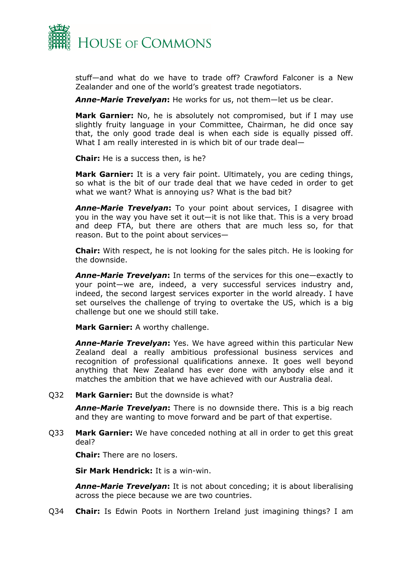

stuff—and what do we have to trade off? Crawford Falconer is a New Zealander and one of the world's greatest trade negotiators.

*Anne-Marie Trevelyan***:** He works for us, not them—let us be clear.

**Mark Garnier:** No, he is absolutely not compromised, but if I may use slightly fruity language in your Committee, Chairman, he did once say that, the only good trade deal is when each side is equally pissed off. What I am really interested in is which bit of our trade deal—

**Chair:** He is a success then, is he?

**Mark Garnier:** It is a very fair point. Ultimately, you are ceding things, so what is the bit of our trade deal that we have ceded in order to get what we want? What is annoying us? What is the bad bit?

*Anne-Marie Trevelyan***:** To your point about services, I disagree with you in the way you have set it out—it is not like that. This is a very broad and deep FTA, but there are others that are much less so, for that reason. But to the point about services—

**Chair:** With respect, he is not looking for the sales pitch. He is looking for the downside.

*Anne-Marie Trevelyan***:** In terms of the services for this one—exactly to your point—we are, indeed, a very successful services industry and, indeed, the second largest services exporter in the world already. I have set ourselves the challenge of trying to overtake the US, which is a big challenge but one we should still take.

**Mark Garnier:** A worthy challenge.

*Anne-Marie Trevelyan***:** Yes. We have agreed within this particular New Zealand deal a really ambitious professional business services and recognition of professional qualifications annexe. It goes well beyond anything that New Zealand has ever done with anybody else and it matches the ambition that we have achieved with our Australia deal.

## Q32 **Mark Garnier:** But the downside is what?

*Anne-Marie Trevelyan***:** There is no downside there. This is a big reach and they are wanting to move forward and be part of that expertise.

Q33 **Mark Garnier:** We have conceded nothing at all in order to get this great deal?

**Chair:** There are no losers.

**Sir Mark Hendrick:** It is a win-win.

*Anne-Marie Trevelyan***:** It is not about conceding; it is about liberalising across the piece because we are two countries.

Q34 **Chair:** Is Edwin Poots in Northern Ireland just imagining things? I am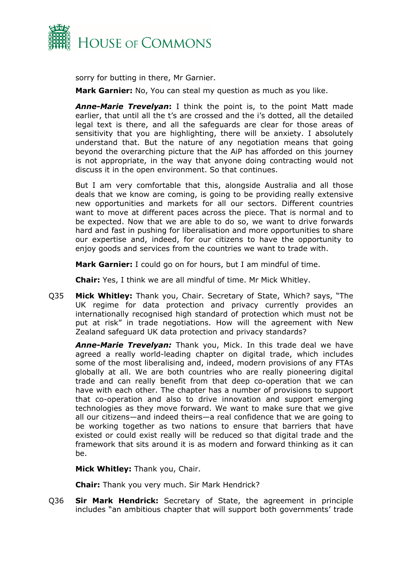

sorry for butting in there, Mr Garnier.

**Mark Garnier:** No, You can steal my question as much as you like.

*Anne-Marie Trevelyan***:** I think the point is, to the point Matt made earlier, that until all the t's are crossed and the i's dotted, all the detailed legal text is there, and all the safeguards are clear for those areas of sensitivity that you are highlighting, there will be anxiety. I absolutely understand that. But the nature of any negotiation means that going beyond the overarching picture that the AiP has afforded on this journey is not appropriate, in the way that anyone doing contracting would not discuss it in the open environment. So that continues.

But I am very comfortable that this, alongside Australia and all those deals that we know are coming, is going to be providing really extensive new opportunities and markets for all our sectors. Different countries want to move at different paces across the piece. That is normal and to be expected. Now that we are able to do so, we want to drive forwards hard and fast in pushing for liberalisation and more opportunities to share our expertise and, indeed, for our citizens to have the opportunity to enjoy goods and services from the countries we want to trade with.

**Mark Garnier:** I could go on for hours, but I am mindful of time.

**Chair:** Yes, I think we are all mindful of time. Mr Mick Whitley.

Q35 **Mick Whitley:** Thank you, Chair. Secretary of State, Which? says, "The UK regime for data protection and privacy currently provides an internationally recognised high standard of protection which must not be put at risk" in trade negotiations. How will the agreement with New Zealand safeguard UK data protection and privacy standards?

*Anne-Marie Trevelyan:* Thank you, Mick. In this trade deal we have agreed a really world-leading chapter on digital trade, which includes some of the most liberalising and, indeed, modern provisions of any FTAs globally at all. We are both countries who are really pioneering digital trade and can really benefit from that deep co-operation that we can have with each other. The chapter has a number of provisions to support that co-operation and also to drive innovation and support emerging technologies as they move forward. We want to make sure that we give all our citizens—and indeed theirs—a real confidence that we are going to be working together as two nations to ensure that barriers that have existed or could exist really will be reduced so that digital trade and the framework that sits around it is as modern and forward thinking as it can be.

**Mick Whitley:** Thank you, Chair.

**Chair:** Thank you very much. Sir Mark Hendrick?

Q36 **Sir Mark Hendrick:** Secretary of State, the agreement in principle includes "an ambitious chapter that will support both governments' trade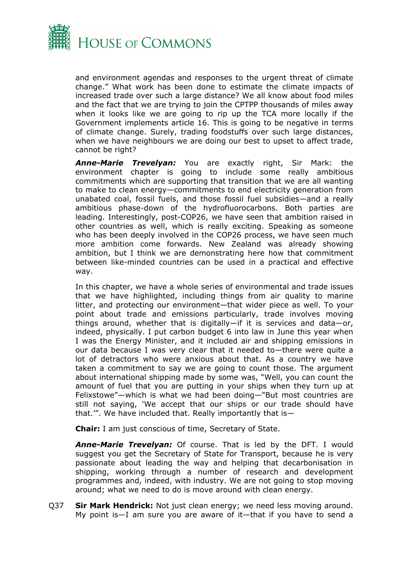

and environment agendas and responses to the urgent threat of climate change." What work has been done to estimate the climate impacts of increased trade over such a large distance? We all know about food miles and the fact that we are trying to join the CPTPP thousands of miles away when it looks like we are going to rip up the TCA more locally if the Government implements article 16. This is going to be negative in terms of climate change. Surely, trading foodstuffs over such large distances, when we have neighbours we are doing our best to upset to affect trade, cannot be right?

*Anne-Marie Trevelyan:* You are exactly right, Sir Mark: the environment chapter is going to include some really ambitious commitments which are supporting that transition that we are all wanting to make to clean energy—commitments to end electricity generation from unabated coal, fossil fuels, and those fossil fuel subsidies—and a really ambitious phase-down of the hydrofluorocarbons. Both parties are leading. Interestingly, post-COP26, we have seen that ambition raised in other countries as well, which is really exciting. Speaking as someone who has been deeply involved in the COP26 process, we have seen much more ambition come forwards. New Zealand was already showing ambition, but I think we are demonstrating here how that commitment between like-minded countries can be used in a practical and effective way.

In this chapter, we have a whole series of environmental and trade issues that we have highlighted, including things from air quality to marine litter, and protecting our environment—that wider piece as well. To your point about trade and emissions particularly, trade involves moving things around, whether that is digitally—if it is services and data—or, indeed, physically. I put carbon budget 6 into law in June this year when I was the Energy Minister, and it included air and shipping emissions in our data because I was very clear that it needed to—there were quite a lot of detractors who were anxious about that. As a country we have taken a commitment to say we are going to count those. The argument about international shipping made by some was, "Well, you can count the amount of fuel that you are putting in your ships when they turn up at Felixstowe"—which is what we had been doing—"But most countries are still not saying, 'We accept that our ships or our trade should have that.'". We have included that. Really importantly that is—

**Chair:** I am just conscious of time, Secretary of State.

*Anne-Marie Trevelyan:* Of course. That is led by the DFT. I would suggest you get the Secretary of State for Transport, because he is very passionate about leading the way and helping that decarbonisation in shipping, working through a number of research and development programmes and, indeed, with industry. We are not going to stop moving around; what we need to do is move around with clean energy.

Q37 **Sir Mark Hendrick:** Not just clean energy; we need less moving around. My point is—I am sure you are aware of it—that if you have to send a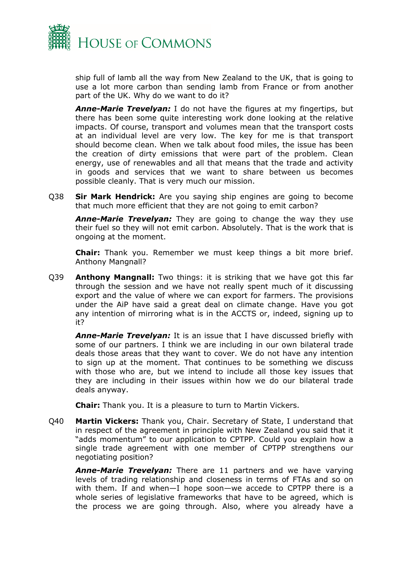

ship full of lamb all the way from New Zealand to the UK, that is going to use a lot more carbon than sending lamb from France or from another part of the UK. Why do we want to do it?

*Anne-Marie Trevelyan:* I do not have the figures at my fingertips, but there has been some quite interesting work done looking at the relative impacts. Of course, transport and volumes mean that the transport costs at an individual level are very low. The key for me is that transport should become clean. When we talk about food miles, the issue has been the creation of dirty emissions that were part of the problem. Clean energy, use of renewables and all that means that the trade and activity in goods and services that we want to share between us becomes possible cleanly. That is very much our mission.

Q38 **Sir Mark Hendrick:** Are you saying ship engines are going to become that much more efficient that they are not going to emit carbon?

*Anne-Marie Trevelyan:* They are going to change the way they use their fuel so they will not emit carbon. Absolutely. That is the work that is ongoing at the moment.

**Chair:** Thank you. Remember we must keep things a bit more brief. Anthony Mangnall?

Q39 **Anthony Mangnall:** Two things: it is striking that we have got this far through the session and we have not really spent much of it discussing export and the value of where we can export for farmers. The provisions under the AiP have said a great deal on climate change. Have you got any intention of mirroring what is in the ACCTS or, indeed, signing up to it?

*Anne-Marie Trevelyan:* It is an issue that I have discussed briefly with some of our partners. I think we are including in our own bilateral trade deals those areas that they want to cover. We do not have any intention to sign up at the moment. That continues to be something we discuss with those who are, but we intend to include all those key issues that they are including in their issues within how we do our bilateral trade deals anyway.

**Chair:** Thank you. It is a pleasure to turn to Martin Vickers.

Q40 **Martin Vickers:** Thank you, Chair. Secretary of State, I understand that in respect of the agreement in principle with New Zealand you said that it "adds momentum" to our application to CPTPP. Could you explain how a single trade agreement with one member of CPTPP strengthens our negotiating position?

*Anne-Marie Trevelyan:* There are 11 partners and we have varying levels of trading relationship and closeness in terms of FTAs and so on with them. If and when—I hope soon—we accede to CPTPP there is a whole series of legislative frameworks that have to be agreed, which is the process we are going through. Also, where you already have a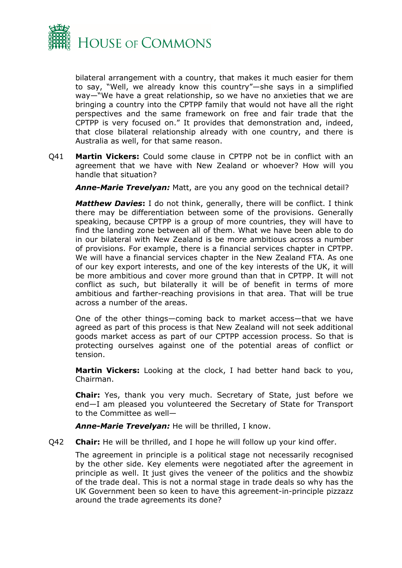

bilateral arrangement with a country, that makes it much easier for them to say, "Well, we already know this country"—she says in a simplified way—"We have a great relationship, so we have no anxieties that we are bringing a country into the CPTPP family that would not have all the right perspectives and the same framework on free and fair trade that the CPTPP is very focused on." It provides that demonstration and, indeed, that close bilateral relationship already with one country, and there is Australia as well, for that same reason.

Q41 **Martin Vickers:** Could some clause in CPTPP not be in conflict with an agreement that we have with New Zealand or whoever? How will you handle that situation?

*Anne-Marie Trevelyan:* Matt, are you any good on the technical detail?

*Matthew Davies***:** I do not think, generally, there will be conflict. I think there may be differentiation between some of the provisions. Generally speaking, because CPTPP is a group of more countries, they will have to find the landing zone between all of them. What we have been able to do in our bilateral with New Zealand is be more ambitious across a number of provisions. For example, there is a financial services chapter in CPTPP. We will have a financial services chapter in the New Zealand FTA. As one of our key export interests, and one of the key interests of the UK, it will be more ambitious and cover more ground than that in CPTPP. It will not conflict as such, but bilaterally it will be of benefit in terms of more ambitious and farther-reaching provisions in that area. That will be true across a number of the areas.

One of the other things—coming back to market access—that we have agreed as part of this process is that New Zealand will not seek additional goods market access as part of our CPTPP accession process. So that is protecting ourselves against one of the potential areas of conflict or tension.

**Martin Vickers:** Looking at the clock, I had better hand back to you, Chairman.

**Chair:** Yes, thank you very much. Secretary of State, just before we end—I am pleased you volunteered the Secretary of State for Transport to the Committee as well—

*Anne-Marie Trevelyan:* He will be thrilled, I know.

Q42 **Chair:** He will be thrilled, and I hope he will follow up your kind offer.

The agreement in principle is a political stage not necessarily recognised by the other side. Key elements were negotiated after the agreement in principle as well. It just gives the veneer of the politics and the showbiz of the trade deal. This is not a normal stage in trade deals so why has the UK Government been so keen to have this agreement-in-principle pizzazz around the trade agreements its done?